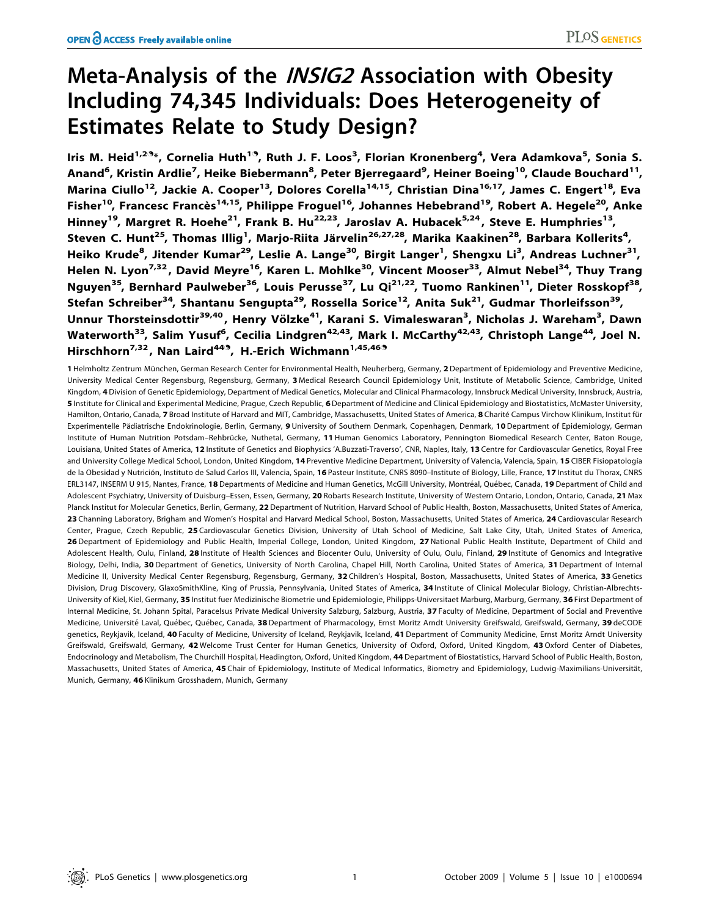# Meta-Analysis of the *INSIG2* Association with Obesity Including 74,345 Individuals: Does Heterogeneity of Estimates Relate to Study Design?

Iris M. Heid<sup>1,29</sup>\*, Cornelia Huth<sup>19</sup>, Ruth J. F. Loos<sup>3</sup>, Florian Kronenberg<sup>4</sup>, Vera Adamkova<sup>5</sup>, Sonia S. Anand<sup>6</sup>, Kristin Ardlie<sup>7</sup>, Heike Biebermann<sup>8</sup>, Peter Bjerregaard<sup>9</sup>, Heiner Boeing<sup>10</sup>, Claude Bouchard<sup>11</sup>, Marina Ciullo<sup>12</sup>, Jackie A. Cooper<sup>13</sup>, Dolores Corella<sup>14,15</sup>, Christian Dina<sup>16,17</sup>, James C. Engert<sup>18</sup>, Eva Fisher<sup>10</sup>, Francesc Francès<sup>14,15</sup>, Philippe Froguel<sup>16</sup>, Johannes Hebebrand<sup>19</sup>, Robert A. Hegele<sup>20</sup>, Anke Hinney<sup>19</sup>, Margret R. Hoehe<sup>21</sup>, Frank B. Hu<sup>22,23</sup>, Jaroslav A. Hubacek<sup>5,24</sup>, Steve E. Humphries<sup>13</sup>, Steven C. Hunt<sup>25</sup>, Thomas Illig<sup>1</sup>, Marjo-Riita Järvelin<sup>26,27,28</sup>, Marika Kaakinen<sup>28</sup>, Barbara Kollerits<sup>4</sup>, Heiko Krude<sup>8</sup>, Jitender Kumar<sup>29</sup>, Leslie A. Lange<sup>30</sup>, Birgit Langer<sup>1</sup>, Shengxu Li<sup>3</sup>, Andreas Luchner<sup>31</sup>, Helen N. Lyon<sup>7,32</sup>, David Meyre<sup>16</sup>, Karen L. Mohlke<sup>30</sup>, Vincent Mooser<sup>33</sup>, Almut Nebel<sup>34</sup>, Thuy Trang Nguyen<sup>35</sup>, Bernhard Paulweber<sup>36</sup>, Louis Perusse<sup>37</sup>, Lu Qi<sup>21,22</sup>, Tuomo Rankinen<sup>11</sup>, Dieter Rosskopf<sup>38</sup>, Stefan Schreiber<sup>34</sup>, Shantanu Sengupta<sup>29</sup>, Rossella Sorice<sup>12</sup>, Anita Suk<sup>21</sup>, Gudmar Thorleifsson<sup>39</sup>, Unnur Thorsteinsdottir<sup>39,40</sup>, Henry Völzke<sup>41</sup>, Karani S. Vimaleswaran<sup>3</sup>, Nicholas J. Wareham<sup>3</sup>, Dawn Waterworth<sup>33</sup>, Salim Yusuf<sup>6</sup>, Cecilia Lindgren<sup>42,43</sup>, Mark I. McCarthy<sup>42,43</sup>, Christoph Lange<sup>44</sup>, Joel N. Hirschhorn<sup>7,32</sup>, Nan Laird<sup>449</sup>, H.-Erich Wichmann<sup>1,45,469</sup>

1 Helmholtz Zentrum München, German Research Center for Environmental Health, Neuherberg, Germany, 2 Department of Epidemiology and Preventive Medicine, University Medical Center Regensburg, Regensburg, Germany, 3 Medical Research Council Epidemiology Unit, Institute of Metabolic Science, Cambridge, United Kingdom, 4 Division of Genetic Epidemiology, Department of Medical Genetics, Molecular and Clinical Pharmacology, Innsbruck Medical University, Innsbruck, Austria, 5 Institute for Clinical and Experimental Medicine, Prague, Czech Republic, 6 Department of Medicine and Clinical Epidemiology and Biostatistics, McMaster University, Hamilton, Ontario, Canada, 7 Broad Institute of Harvard and MIT, Cambridge, Massachusetts, United States of America, 8 Charité Campus Virchow Klinikum, Institut für Experimentelle Pädiatrische Endokrinologie, Berlin, Germany, 9 University of Southern Denmark, Copenhagen, Denmark, 10 Department of Epidemiology, German Institute of Human Nutrition Potsdam-Rehbrücke, Nuthetal, Germany, 11 Human Genomics Laboratory, Pennington Biomedical Research Center, Baton Rouge, Louisiana, United States of America, 12 Institute of Genetics and Biophysics 'A.Buzzati-Traverso', CNR, Naples, Italy, 13 Centre for Cardiovascular Genetics, Royal Free and University College Medical School, London, United Kingdom, 14 Preventive Medicine Department, University of Valencia, Valencia, Spain, 15 CIBER Fisiopatología de la Obesidad y Nutrición, Instituto de Salud Carlos III, Valencia, Spain, 16 Pasteur Institute, CNRS 8090-Institute of Biology, Lille, France, 17 Institut du Thorax, CNRS ERL3147, INSERM U 915, Nantes, France, 18 Departments of Medicine and Human Genetics, McGill University, Montréal, Québec, Canada, 19 Department of Child and Adolescent Psychiatry, University of Duisburg–Essen, Essen, Germany, 20 Robarts Research Institute, University of Western Ontario, London, Ontario, Canada, 21 Max Planck Institut for Molecular Genetics, Berlin, Germany, 22 Department of Nutrition, Harvard School of Public Health, Boston, Massachusetts, United States of America, 23 Channing Laboratory, Brigham and Women's Hospital and Harvard Medical School, Boston, Massachusetts, United States of America, 24 Cardiovascular Research Center, Prague, Czech Republic, 25 Cardiovascular Genetics Division, University of Utah School of Medicine, Salt Lake City, Utah, United States of America, 26 Department of Epidemiology and Public Health, Imperial College, London, United Kingdom, 27 National Public Health Institute, Department of Child and Adolescent Health, Oulu, Finland, 28 Institute of Health Sciences and Biocenter Oulu, University of Oulu, Oulu, Finland, 29 Institute of Genomics and Integrative Biology, Delhi, India, 30 Department of Genetics, University of North Carolina, Chapel Hill, North Carolina, United States of America, 31 Department of Internal Medicine II, University Medical Center Regensburg, Regensburg, Germany, 32 Children's Hospital, Boston, Massachusetts, United States of America, 33 Genetics Division, Drug Discovery, GlaxoSmithKline, King of Prussia, Pennsylvania, United States of America, 34 Institute of Clinical Molecular Biology, Christian-Albrechts-University of Kiel, Kiel, Germany, 35 Institut fuer Medizinische Biometrie und Epidemiologie, Philipps-Universitaet Marburg, Marburg, Germany, 36 First Department of Internal Medicine, St. Johann Spital, Paracelsus Private Medical University Salzburg, Salzburg, Austria, 37 Faculty of Medicine, Department of Social and Preventive Medicine, Université Laval, Québec, Québec, Canada, 38 Department of Pharmacology, Ernst Moritz Arndt University Greifswald, Greifswald, Germany, 39 deCODE genetics, Reykjavik, Iceland, 40 Faculty of Medicine, University of Iceland, Reykjavik, Iceland, 41 Department of Community Medicine, Ernst Moritz Arndt University Greifswald, Greifswald, Germany, 42 Welcome Trust Center for Human Genetics, University of Oxford, Oxford, United Kingdom, 43 Oxford Center of Diabetes, Endocrinology and Metabolism, The Churchill Hospital, Headington, Oxford, United Kingdom, 44 Department of Biostatistics, Harvard School of Public Health, Boston, Massachusetts, United States of America, 45 Chair of Epidemiology, Institute of Medical Informatics, Biometry and Epidemiology, Ludwig-Maximilians-Universität, Munich, Germany, 46 Klinikum Grosshadern, Munich, Germany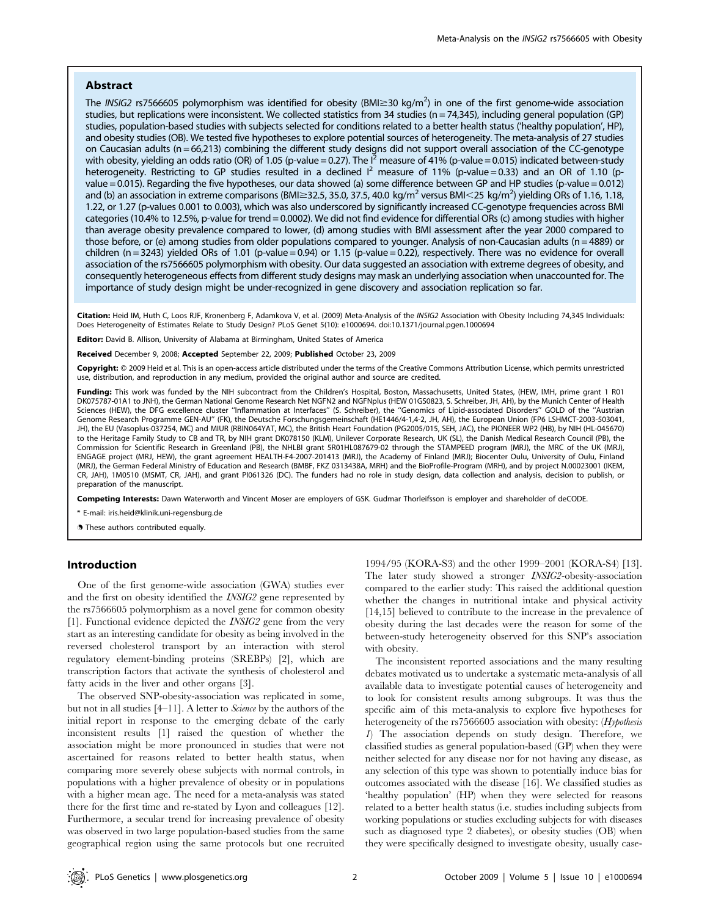## Abstract

The INSIG2 rs7566605 polymorphism was identified for obesity (BMI $\geq$ 30 kg/m<sup>2</sup>) in one of the first genome-wide association studies, but replications were inconsistent. We collected statistics from 34 studies (n = 74,345), including general population (GP) studies, population-based studies with subjects selected for conditions related to a better health status ('healthy population', HP), and obesity studies (OB). We tested five hypotheses to explore potential sources of heterogeneity. The meta-analysis of 27 studies on Caucasian adults (n = 66,213) combining the different study designs did not support overall association of the CC-genotype with obesity, yielding an odds ratio (OR) of 1.05 (p-value = 0.27). The  $I^2$  measure of 41% (p-value = 0.015) indicated between-study heterogeneity. Restricting to GP studies resulted in a declined  $I^2$  measure of 11% (p-value = 0.33) and an OR of 1.10 (pvalue = 0.015). Regarding the five hypotheses, our data showed (a) some difference between GP and HP studies (p-value = 0.012) and (b) an association in extreme comparisons (BMI $\geq$ 32.5, 35.0, 37.5, 40.0 kg/m<sup>2</sup> versus BMI $<$ 25 kg/m<sup>2</sup>) yielding ORs of 1.16, 1.18, 1.22, or 1.27 (p-values 0.001 to 0.003), which was also underscored by significantly increased CC-genotype frequencies across BMI categories (10.4% to 12.5%, p-value for trend = 0.0002). We did not find evidence for differential ORs (c) among studies with higher than average obesity prevalence compared to lower, (d) among studies with BMI assessment after the year 2000 compared to those before, or (e) among studies from older populations compared to younger. Analysis of non-Caucasian adults (n = 4889) or children (n = 3243) yielded ORs of 1.01 (p-value = 0.94) or 1.15 (p-value = 0.22), respectively. There was no evidence for overall association of the rs7566605 polymorphism with obesity. Our data suggested an association with extreme degrees of obesity, and consequently heterogeneous effects from different study designs may mask an underlying association when unaccounted for. The importance of study design might be under-recognized in gene discovery and association replication so far.

Citation: Heid IM, Huth C, Loos RJF, Kronenberg F, Adamkova V, et al. (2009) Meta-Analysis of the INSIG2 Association with Obesity Including 74,345 Individuals: Does Heterogeneity of Estimates Relate to Study Design? PLoS Genet 5(10): e1000694. doi:10.1371/journal.pgen.1000694

Editor: David B. Allison, University of Alabama at Birmingham, United States of America

Received December 9, 2008; Accepted September 22, 2009; Published October 23, 2009

Copyright: @ 2009 Heid et al. This is an open-access article distributed under the terms of the Creative Commons Attribution License, which permits unrestricted use, distribution, and reproduction in any medium, provided the original author and source are credited.

**Funding:** This work was funded by the NIH subcontract from the Children's Hospital, Boston, Massachusetts, United States, (HEW, IMH, prime grant 1 R01<br>DK075787-01A1 to JNH), the German National Genome Research Net NGFN2 a Sciences (HEW), the DFG excellence cluster ''Inflammation at Interfaces'' (S. Schreiber), the ''Genomics of Lipid-associated Disorders'' GOLD of the ''Austrian Genome Research Programme GEN-AU'' (FK), the Deutsche Forschungsgemeinschaft (HE1446/4-1,4-2, JH, AH), the European Union (FP6 LSHMCT-2003-503041, JH), the EU (Vasoplus-037254, MC) and MIUR (RBIN064YAT, MC), the British Heart Foundation (PG2005/015, SEH, JAC), the PIONEER WP2 (HB), by NIH (HL-045670) to the Heritage Family Study to CB and TR, by NIH grant DK078150 (KLM), Unilever Corporate Research, UK (SL), the Danish Medical Research Council (PB), the Commission for Scientific Research in Greenland (PB), the NHLBI grant 5R01HL087679-02 through the STAMPEED program (MRJ), the MRC of the UK (MRJ), ENGAGE project (MRJ, HEW), the grant agreement HEALTH-F4-2007-201413 (MRJ), the Academy of Finland (MRJ); Biocenter Oulu, University of Oulu, Finland (MRJ), the German Federal Ministry of Education and Research (BMBF, FKZ 0313438A, MRH) and the BioProfile-Program (MRH), and by project N.00023001 (IKEM, CR, JAH), 1M0510 (MSMT, CR, JAH), and grant PI061326 (DC). The funders had no role in study design, data collection and analysis, decision to publish, or preparation of the manuscript.

Competing Interests: Dawn Waterworth and Vincent Moser are employers of GSK. Gudmar Thorleifsson is employer and shareholder of deCODE.

\* E-mail: iris.heid@klinik.uni-regensburg.de

**.** These authors contributed equally.

### Introduction

One of the first genome-wide association (GWA) studies ever and the first on obesity identified the INSIG2 gene represented by the rs7566605 polymorphism as a novel gene for common obesity [1]. Functional evidence depicted the *INSIG2* gene from the very start as an interesting candidate for obesity as being involved in the reversed cholesterol transport by an interaction with sterol regulatory element-binding proteins (SREBPs) [2], which are transcription factors that activate the synthesis of cholesterol and fatty acids in the liver and other organs [3].

The observed SNP-obesity-association was replicated in some, but not in all studies [4–11]. A letter to Science by the authors of the initial report in response to the emerging debate of the early inconsistent results [1] raised the question of whether the association might be more pronounced in studies that were not ascertained for reasons related to better health status, when comparing more severely obese subjects with normal controls, in populations with a higher prevalence of obesity or in populations with a higher mean age. The need for a meta-analysis was stated there for the first time and re-stated by Lyon and colleagues [12]. Furthermore, a secular trend for increasing prevalence of obesity was observed in two large population-based studies from the same geographical region using the same protocols but one recruited

1994/95 (KORA-S3) and the other 1999–2001 (KORA-S4) [13]. The later study showed a stronger INSIG2-obesity-association compared to the earlier study: This raised the additional question whether the changes in nutritional intake and physical activity [14,15] believed to contribute to the increase in the prevalence of obesity during the last decades were the reason for some of the between-study heterogeneity observed for this SNP's association with obesity.

The inconsistent reported associations and the many resulting debates motivated us to undertake a systematic meta-analysis of all available data to investigate potential causes of heterogeneity and to look for consistent results among subgroups. It was thus the specific aim of this meta-analysis to explore five hypotheses for heterogeneity of the rs7566605 association with obesity: (*Hypothesis*) 1) The association depends on study design. Therefore, we classified studies as general population-based (GP) when they were neither selected for any disease nor for not having any disease, as any selection of this type was shown to potentially induce bias for outcomes associated with the disease [16]. We classified studies as 'healthy population' (HP) when they were selected for reasons related to a better health status (i.e. studies including subjects from working populations or studies excluding subjects for with diseases such as diagnosed type 2 diabetes), or obesity studies (OB) when they were specifically designed to investigate obesity, usually case-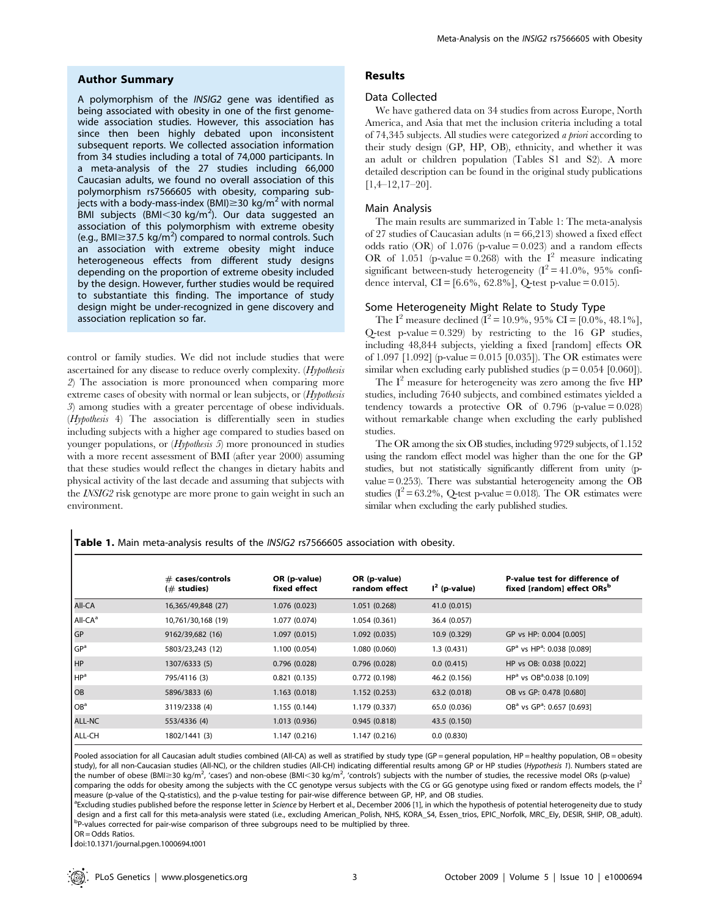#### Author Summary

A polymorphism of the INSIG2 gene was identified as being associated with obesity in one of the first genomewide association studies. However, this association has since then been highly debated upon inconsistent subsequent reports. We collected association information from 34 studies including a total of 74,000 participants. In a meta-analysis of the 27 studies including 66,000 Caucasian adults, we found no overall association of this polymorphism rs7566605 with obesity, comparing subjects with a body-mass-index (BMI) $\geq$ 30 kg/m<sup>2</sup> with normal ,<br>BMI subjects (BMI<30 kg/m<sup>2</sup>). Our data suggested an association of this polymorphism with extreme obesity (e.g., BMI $\geq$ 37.5 kg/m<sup>2</sup>) compared to normal controls. Such an association with extreme obesity might induce heterogeneous effects from different study designs depending on the proportion of extreme obesity included by the design. However, further studies would be required to substantiate this finding. The importance of study design might be under-recognized in gene discovery and association replication so far.

control or family studies. We did not include studies that were ascertained for any disease to reduce overly complexity. (Hypothesis 2) The association is more pronounced when comparing more extreme cases of obesity with normal or lean subjects, or (Hypothesis 3) among studies with a greater percentage of obese individuals. (Hypothesis 4) The association is differentially seen in studies including subjects with a higher age compared to studies based on younger populations, or  $(Hypothess 5)$  more pronounced in studies with a more recent assessment of BMI (after year 2000) assuming that these studies would reflect the changes in dietary habits and physical activity of the last decade and assuming that subjects with the INSIG2 risk genotype are more prone to gain weight in such an environment.

## Results

#### Data Collected

We have gathered data on 34 studies from across Europe, North America, and Asia that met the inclusion criteria including a total of 74,345 subjects. All studies were categorized a priori according to their study design (GP, HP, OB), ethnicity, and whether it was an adult or children population (Tables S1 and S2). A more detailed description can be found in the original study publications [1,4–12,17–20].

### Main Analysis

The main results are summarized in Table 1: The meta-analysis of 27 studies of Caucasian adults ( $n = 66,213$ ) showed a fixed effect odds ratio  $(OR)$  of 1.076 (p-value = 0.023) and a random effects OR of 1.051 (p-value = 0.268) with the  $I^2$  measure indicating significant between-study heterogeneity  $(I^2 = 41.0\%$ , 95% confidence interval,  $CI = [6.6\%, 62.8\%]$ , Q-test p-value = 0.015).

#### Some Heterogeneity Might Relate to Study Type

The I<sup>2</sup> measure declined (I<sup>2</sup> = 10.9%, 95% CI = [0.0%, 48.1%], Q-test p-value  $= 0.329$  by restricting to the 16 GP studies, including 48,844 subjects, yielding a fixed [random] effects OR of 1.097 [1.092] (p-value = 0.015 [0.035]). The OR estimates were similar when excluding early published studies ( $p = 0.054$  [0.060]).

The  $I^2$  measure for heterogeneity was zero among the five HP studies, including 7640 subjects, and combined estimates yielded a tendency towards a protective OR of  $0.796$  (p-value =  $0.028$ ) without remarkable change when excluding the early published studies.

The OR among the six OB studies, including 9729 subjects, of 1.152 using the random effect model was higher than the one for the GP studies, but not statistically significantly different from unity (pvalue  $= 0.253$ ). There was substantial heterogeneity among the OB studies ( $I^2 = 63.2\%$ , Q-test p-value = 0.018). The OR estimates were similar when excluding the early published studies.

Table 1. Main meta-analysis results of the INSIG2 rs7566605 association with obesity.

|                 | $#$ cases/controls<br>$(\#$ studies) | OR (p-value)<br>fixed effect | OR (p-value)<br>random effect | $I2$ (p-value) | P-value test for difference of<br>fixed [random] effect ORs <sup>b</sup> |
|-----------------|--------------------------------------|------------------------------|-------------------------------|----------------|--------------------------------------------------------------------------|
| AII-CA          | 16,365/49,848 (27)                   | 1.076(0.023)                 | 1.051 (0.268)                 | 41.0 (0.015)   |                                                                          |
| $All-CAa$       | 10,761/30,168 (19)                   | 1.077 (0.074)                | 1.054 (0.361)                 | 36.4 (0.057)   |                                                                          |
| GP              | 9162/39,682 (16)                     | 1.097(0.015)                 | 1.092 (0.035)                 | 10.9 (0.329)   | GP vs HP: 0.004 [0.005]                                                  |
| GP <sup>a</sup> | 5803/23,243 (12)                     | 1.100 (0.054)                | 1.080 (0.060)                 | 1.3(0.431)     | GP <sup>a</sup> vs HP <sup>a</sup> : 0.038 [0.089]                       |
| <b>HP</b>       | 1307/6333 (5)                        | 0.796(0.028)                 | 0.796(0.028)                  | 0.0(0.415)     | HP vs OB: 0.038 [0.022]                                                  |
| HP <sup>a</sup> | 795/4116 (3)                         | 0.821(0.135)                 | 0.772(0.198)                  | 46.2 (0.156)   | $HPa$ vs $OBa:0.038$ [0.109]                                             |
| <b>OB</b>       | 5896/3833 (6)                        | 1.163(0.018)                 | 1.152(0.253)                  | 63.2 (0.018)   | OB vs GP: 0.478 [0.680]                                                  |
| OB <sup>a</sup> | 3119/2338 (4)                        | 1.155 (0.144)                | 1.179 (0.337)                 | 65.0 (0.036)   | OB <sup>a</sup> vs GP <sup>a</sup> : 0.657 [0.693]                       |
| ALL-NC          | 553/4336 (4)                         | 1.013 (0.936)                | 0.945(0.818)                  | 43.5 (0.150)   |                                                                          |
| ALL-CH          | 1802/1441 (3)                        | 1.147 (0.216)                | 1.147 (0.216)                 | 0.0(0.830)     |                                                                          |

Pooled association for all Caucasian adult studies combined (All-CA) as well as stratified by study type (GP = general population, HP = healthy population, OB = obesity study), for all non-Caucasian studies (All-NC), or the children studies (All-CH) indicating differential results among GP or HP studies (Hypothesis 1). Numbers stated are the number of obese (BMI $\geq$ 30 kg/m<sup>2</sup>, 'cases') and non-obese (BMI<30 kg/m<sup>2</sup>, 'controls') subjects with the number of studies, the recessive model ORs (p-value) comparing the odds for obesity among the subjects with the CC genotype versus subjects with the CG or GG genotype using fixed or random effects models, the I<sup>2</sup> measure (p-value of the Q-statistics), and the p-value testing for pair-wise difference between GP, HP, and OB studies.

<sup>a</sup>Excluding studies published before the response letter in Science by Herbert et al., December 2006 [1], in which the hypothesis of potential heterogeneity due to study design and a first call for this meta-analysis were stated (i.e., excluding American\_Polish, NHS, KORA\_S4, Essen\_trios, EPIC\_Norfolk, MRC\_Ely, DESIR, SHIP, OB\_adult). P-values corrected for pair-wise comparison of three subgroups need to be multiplied by three.

OR = Odds Ratios.

doi:10.1371/journal.pgen.1000694.t001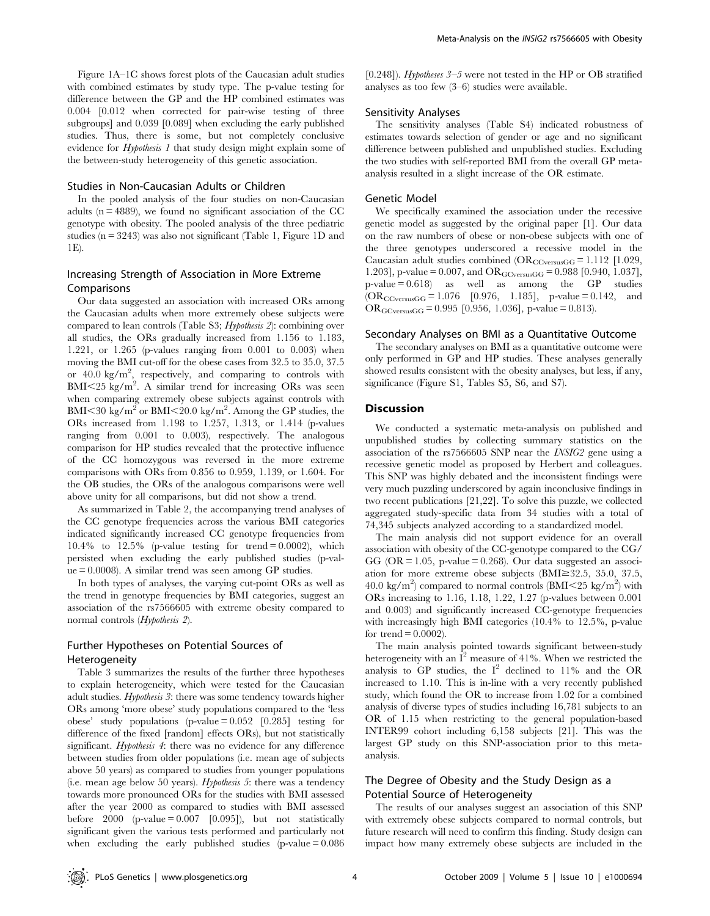Figure 1A–1C shows forest plots of the Caucasian adult studies with combined estimates by study type. The p-value testing for difference between the GP and the HP combined estimates was 0.004 [0.012 when corrected for pair-wise testing of three subgroups] and 0.039 [0.089] when excluding the early published studies. Thus, there is some, but not completely conclusive evidence for *Hypothesis 1* that study design might explain some of the between-study heterogeneity of this genetic association.

#### Studies in Non-Caucasian Adults or Children

In the pooled analysis of the four studies on non-Caucasian adults  $(n = 4889)$ , we found no significant association of the CC genotype with obesity. The pooled analysis of the three pediatric studies ( $n = 3243$ ) was also not significant (Table 1, Figure 1D and 1E).

## Increasing Strength of Association in More Extreme Comparisons

Our data suggested an association with increased ORs among the Caucasian adults when more extremely obese subjects were compared to lean controls (Table S3; Hypothesis 2): combining over all studies, the ORs gradually increased from 1.156 to 1.183, 1.221, or 1.265 (p-values ranging from 0.001 to 0.003) when moving the BMI cut-off for the obese cases from 32.5 to 35.0, 37.5 or  $40.0 \text{ kg/m}^2$ , respectively, and comparing to controls with BMI<25 kg/m<sup>2</sup>. A similar trend for increasing ORs was seen when comparing extremely obese subjects against controls with BMI $<$ 30 kg/m<sup>2</sup> or BMI $<$ 20.0 kg/m<sup>2</sup>. Among the GP studies, the ORs increased from 1.198 to 1.257, 1.313, or 1.414 (p-values ranging from 0.001 to 0.003), respectively. The analogous comparison for HP studies revealed that the protective influence of the CC homozygous was reversed in the more extreme comparisons with ORs from 0.856 to 0.959, 1.139, or 1.604. For the OB studies, the ORs of the analogous comparisons were well above unity for all comparisons, but did not show a trend.

As summarized in Table 2, the accompanying trend analyses of the CC genotype frequencies across the various BMI categories indicated significantly increased CC genotype frequencies from  $10.4\%$  to  $12.5\%$  (p-value testing for trend = 0.0002), which persisted when excluding the early published studies (p-value  $= 0.0008$ ). A similar trend was seen among GP studies.

In both types of analyses, the varying cut-point ORs as well as the trend in genotype frequencies by BMI categories, suggest an association of the rs7566605 with extreme obesity compared to normal controls (*Hypothesis 2*).

## Further Hypotheses on Potential Sources of Heterogeneity

Table 3 summarizes the results of the further three hypotheses to explain heterogeneity, which were tested for the Caucasian adult studies. Hypothesis 3: there was some tendency towards higher ORs among 'more obese' study populations compared to the 'less obese' study populations (p-value  $= 0.052$  [0.285] testing for difference of the fixed [random] effects ORs), but not statistically significant. Hypothesis 4: there was no evidence for any difference between studies from older populations (i.e. mean age of subjects above 50 years) as compared to studies from younger populations (i.e. mean age below 50 years). Hypothesis 5: there was a tendency towards more pronounced ORs for the studies with BMI assessed after the year 2000 as compared to studies with BMI assessed before  $2000$  (p-value = 0.007 [0.095]), but not statistically significant given the various tests performed and particularly not when excluding the early published studies (p-value  $= 0.086$ )

[0.248]). Hypotheses 3–5 were not tested in the HP or OB stratified analyses as too few (3–6) studies were available.

#### Sensitivity Analyses

The sensitivity analyses (Table S4) indicated robustness of estimates towards selection of gender or age and no significant difference between published and unpublished studies. Excluding the two studies with self-reported BMI from the overall GP metaanalysis resulted in a slight increase of the OR estimate.

#### Genetic Model

We specifically examined the association under the recessive genetic model as suggested by the original paper [1]. Our data on the raw numbers of obese or non-obese subjects with one of the three genotypes underscored a recessive model in the Caucasian adult studies combined  $(OR_{CC~versusGG} = 1.112$  [1.029, 1.203], p-value = 0.007, and OR<sub>GCversusGG</sub> = 0.988 [0.940, 1.037], p-value = 0.618) as well as among the GP studies  $(OR_{CCversusGG} = 1.076 \quad [0.976, 1.185], \quad p-value = 0.142, \quad and$  $OR_{GCversusGG} = 0.995$  [0.956, 1.036], p-value = 0.813).

#### Secondary Analyses on BMI as a Quantitative Outcome

The secondary analyses on BMI as a quantitative outcome were only performed in GP and HP studies. These analyses generally showed results consistent with the obesity analyses, but less, if any, significance (Figure S1, Tables S5, S6, and S7).

## Discussion

We conducted a systematic meta-analysis on published and unpublished studies by collecting summary statistics on the association of the rs7566605 SNP near the INSIG2 gene using a recessive genetic model as proposed by Herbert and colleagues. This SNP was highly debated and the inconsistent findings were very much puzzling underscored by again inconclusive findings in two recent publications [21,22]. To solve this puzzle, we collected aggregated study-specific data from 34 studies with a total of 74,345 subjects analyzed according to a standardized model.

The main analysis did not support evidence for an overall association with obesity of the CC-genotype compared to the CG/ GG ( $OR = 1.05$ , p-value = 0.268). Our data suggested an association for more extreme obese subjects (BMI $\geq$ 32.5, 35.0, 37.5, 40.0 kg/m<sup>2</sup>) compared to normal controls  $(BMI < 25$  kg/m<sup>2</sup>) with ORs increasing to 1.16, 1.18, 1.22, 1.27 (p-values between 0.001 and 0.003) and significantly increased CC-genotype frequencies with increasingly high BMI categories (10.4% to 12.5%, p-value for trend  $= 0.0002$ ).

The main analysis pointed towards significant between-study heterogeneity with an  $I^2$  measure of 41%. When we restricted the analysis to GP studies, the  $I^2$  declined to 11% and the OR increased to 1.10. This is in-line with a very recently published study, which found the OR to increase from 1.02 for a combined analysis of diverse types of studies including 16,781 subjects to an OR of 1.15 when restricting to the general population-based INTER99 cohort including 6,158 subjects [21]. This was the largest GP study on this SNP-association prior to this metaanalysis.

## The Degree of Obesity and the Study Design as a Potential Source of Heterogeneity

The results of our analyses suggest an association of this SNP with extremely obese subjects compared to normal controls, but future research will need to confirm this finding. Study design can impact how many extremely obese subjects are included in the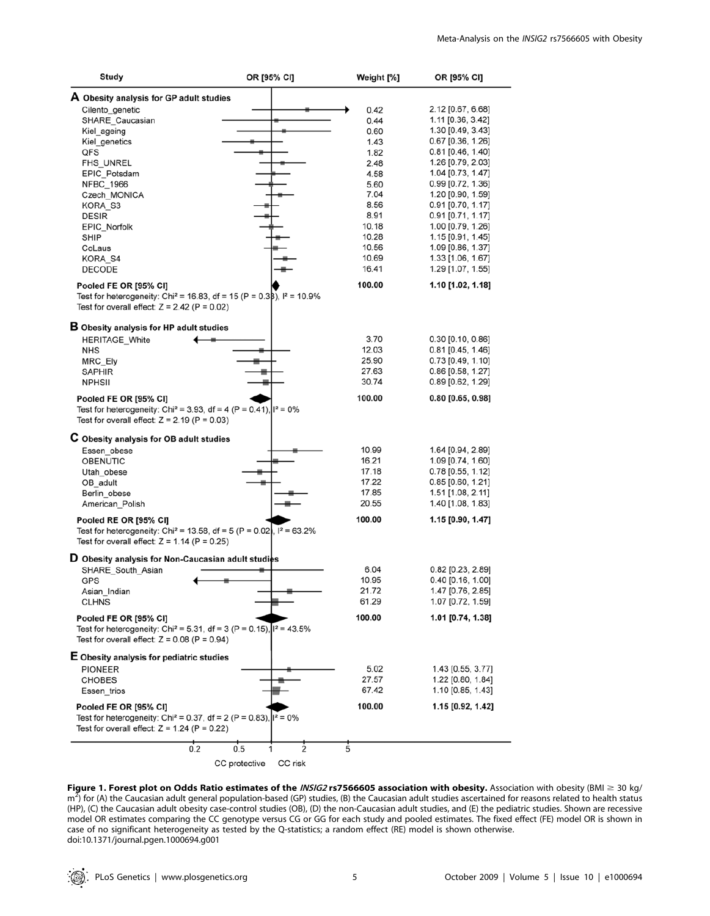| Study                                                                                                                                                                      | OR [95% CI]              | Weight [%]     | OR [95% CI]         |
|----------------------------------------------------------------------------------------------------------------------------------------------------------------------------|--------------------------|----------------|---------------------|
| A Obesity analysis for GP adult studies                                                                                                                                    |                          |                |                     |
| Cilento genetic                                                                                                                                                            |                          | 0.42           | 2.12 [0.67, 6.68]   |
| SHARE_Caucasian                                                                                                                                                            |                          | 0.44           | 1.11 [0.36, 3.42]   |
| Kiel_ageing                                                                                                                                                                |                          | 0.60           | 1.30 [0.49, 3.43]   |
| Kiel genetics                                                                                                                                                              |                          | 1.43           | $0.67$ [0.36, 1.26] |
| QFS                                                                                                                                                                        |                          | 1.82           | $0.81$ [0.46, 1.40] |
| FHS_UNREL                                                                                                                                                                  |                          | 2.48           | 1.26 [0.79, 2.03]   |
| EPIC Potsdam                                                                                                                                                               |                          | 4.58           | 1.04 [0.73, 1.47]   |
| NFBC_1966                                                                                                                                                                  |                          | 5.60           | 0.99 [0.72, 1.36]   |
| Czech MONICA                                                                                                                                                               |                          | 7.04           | 1.20 [0.90, 1.59]   |
| KORA_S3                                                                                                                                                                    |                          | 8.56           | 0.91 [0.70, 1.17]   |
| <b>DESIR</b>                                                                                                                                                               |                          | 8.91           | $0.91$ [0.71, 1.17] |
| EPIC_Norfolk                                                                                                                                                               |                          | 10.18          | 1.00 [0.79, 1.26]   |
| SHIP                                                                                                                                                                       |                          | 10.28          | 1.15 [0.91, 1.45]   |
| CoLaus                                                                                                                                                                     |                          | 10.56          | 1.09 [0.86, 1.37]   |
| KORA S4                                                                                                                                                                    |                          | 10.69          | 1.33 [1.06, 1.67]   |
| <b>DECODE</b>                                                                                                                                                              |                          | 16.41          | 1.29 [1.07, 1.55]   |
| Pooled FE OR [95% CI]                                                                                                                                                      |                          | 100.00         | 1.10 [1.02, 1.18]   |
| Test for heterogeneity: Chi <sup>2</sup> = 16.83, df = 15 (P = 0.38), $I^2$ = 10.9%                                                                                        |                          |                |                     |
| Test for overall effect: $Z = 2.42$ (P = 0.02)                                                                                                                             |                          |                |                     |
| <b>B</b> Obesity analysis for HP adult studies                                                                                                                             |                          |                |                     |
| <b>HERITAGE White</b>                                                                                                                                                      |                          | 3.70           | 0.30 [0.10, 0.86]   |
| <b>NHS</b>                                                                                                                                                                 |                          | 12.03          | $0.81$ [0.45, 1.46] |
| MRC Ely                                                                                                                                                                    |                          | 25.90          | $0.73$ [0.49, 1.10] |
| <b>SAPHIR</b>                                                                                                                                                              |                          | 27.63<br>30.74 | $0.86$ [0.58, 1.27] |
| <b>NPHSII</b>                                                                                                                                                              |                          |                | $0.89$ [0.62, 1.29] |
| Pooled FE OR [95% CI]<br>Test for heterogeneity: Chi <sup>2</sup> = 3.93, df = 4 (P = 0.41), $ 1^2 = 0\%$<br>Test for overall effect: $Z = 2.19$ (P = 0.03)                |                          | 100.00         | $0.80$ [0.65, 0.98] |
| C Obesity analysis for OB adult studies                                                                                                                                    |                          |                |                     |
| Essen obese                                                                                                                                                                |                          | 10.99          | 1.64 [0.94, 2.89]   |
| <b>OBENUTIC</b>                                                                                                                                                            |                          | 16.21          | 1.09 [0.74, 1.60]   |
| Utah obese                                                                                                                                                                 |                          | 17.18          | $0.78$ [0.55, 1.12] |
| OB adult                                                                                                                                                                   |                          | 17.22          | $0.85$ [0.60, 1.21] |
| Berlin obese                                                                                                                                                               |                          | 17.85          | 1.51 [1.08, 2.11]   |
| American Polish                                                                                                                                                            |                          | 20.55          | 1.40 [1.08, 1.83]   |
| Pooled RE OR [95% CI]                                                                                                                                                      |                          | 100.00         | 1.15 [0.90, 1.47]   |
| Test for heterogeneity: Chi <sup>2</sup> = 13.58, df = 5 (P = 0.02), $1^2$ = 63.2%<br>Test for overall effect: $Z = 1.14$ (P = 0.25)                                       |                          |                |                     |
| D Obesity analysis for Non-Caucasian adult studies                                                                                                                         |                          |                |                     |
| SHARE South Asian                                                                                                                                                          |                          | 6.04           | $0.82$ [0.23, 2.89] |
| GPS                                                                                                                                                                        |                          | 10.95          | 0.40 [0.16, 1.00]   |
| Asian Indian                                                                                                                                                               |                          | 21.72          | 1.47 [0.76, 2.85]   |
| <b>CLHNS</b>                                                                                                                                                               |                          | 61.29          | 1.07 [0.72, 1.59]   |
| Pooled FE OR [95% CI]<br>Test for heterogeneity: Chi <sup>2</sup> = 5.31, df = 3 (P = 0.15), $1^2$ = 43.5%                                                                 |                          | 100.00         | 1.01 [0.74, 1.38]   |
| Test for overall effect: $Z = 0.08$ (P = 0.94)                                                                                                                             |                          |                |                     |
| <b>E</b> Obesity analysis for pediatric studies                                                                                                                            |                          |                |                     |
| <b>PIONEER</b>                                                                                                                                                             |                          | 5.02           | 1.43 [0.55, 3.77]   |
| <b>CHOBES</b>                                                                                                                                                              |                          | 27.57          | 1.22 [0.80, 1.84]   |
| Essen_trios                                                                                                                                                                |                          | 67.42          | 1.10 [0.85, 1.43]   |
| Pooled FE OR [95% CI]<br>Test for heterogeneity: Chi <sup>2</sup> = 0.37, df = 2 (P = 0.83),   $\vert$ <sup>2</sup> = 0%<br>Test for overall effect: $Z = 1.24$ (P = 0.22) |                          | 100.00         | 1.15 [0.92, 1.42]   |
|                                                                                                                                                                            |                          |                |                     |
| 0.2                                                                                                                                                                        | 0.5<br>$\overline{2}$    | 5              |                     |
|                                                                                                                                                                            | CC protective<br>CC risk |                |                     |

Figure 1. Forest plot on Odds Ratio estimates of the INSIG2 rs7566605 association with obesity. Association with obesity (BMI  $\geq$  30 kg/  $m^2$ ) for (A) the Caucasian adult general population-based (GP) studies, (B) the Caucasian adult studies ascertained for reasons related to health status (HP), (C) the Caucasian adult obesity case-control studies (OB), (D) the non-Caucasian adult studies, and (E) the pediatric studies. Shown are recessive model OR estimates comparing the CC genotype versus CG or GG for each study and pooled estimates. The fixed effect (FE) model OR is shown in case of no significant heterogeneity as tested by the Q-statistics; a random effect (RE) model is shown otherwise. doi:10.1371/journal.pgen.1000694.g001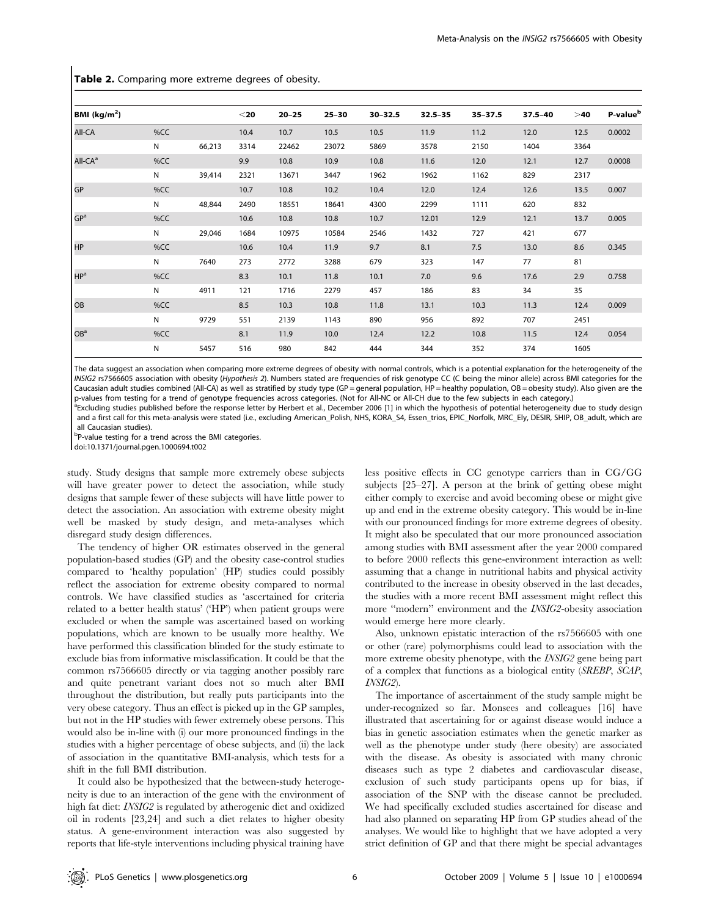Table 2. Comparing more extreme degrees of obesity.

| <b>BMI</b> (kg/m <sup>2</sup> ) |     |        | $<$ 20 | $20 - 25$ | $25 - 30$ | $30 - 32.5$ | $32.5 - 35$ | $35 - 37.5$ | 37.5-40 | >40  | P-value <sup>b</sup> |
|---------------------------------|-----|--------|--------|-----------|-----------|-------------|-------------|-------------|---------|------|----------------------|
|                                 |     |        |        |           |           |             |             |             |         |      |                      |
| All-CA                          | %CC |        | 10.4   | 10.7      | 10.5      | 10.5        | 11.9        | 11.2        | 12.0    | 12.5 | 0.0002               |
|                                 | N   | 66,213 | 3314   | 22462     | 23072     | 5869        | 3578        | 2150        | 1404    | 3364 |                      |
| All-CA <sup>a</sup>             | %CC |        | 9.9    | 10.8      | 10.9      | 10.8        | 11.6        | 12.0        | 12.1    | 12.7 | 0.0008               |
|                                 | N   | 39,414 | 2321   | 13671     | 3447      | 1962        | 1962        | 1162        | 829     | 2317 |                      |
| GP                              | %CC |        | 10.7   | 10.8      | 10.2      | 10.4        | 12.0        | 12.4        | 12.6    | 13.5 | 0.007                |
|                                 | N   | 48,844 | 2490   | 18551     | 18641     | 4300        | 2299        | 1111        | 620     | 832  |                      |
| GP <sup>a</sup>                 | %CC |        | 10.6   | 10.8      | 10.8      | 10.7        | 12.01       | 12.9        | 12.1    | 13.7 | 0.005                |
|                                 | N   | 29,046 | 1684   | 10975     | 10584     | 2546        | 1432        | 727         | 421     | 677  |                      |
| HP                              | %CC |        | 10.6   | 10.4      | 11.9      | 9.7         | 8.1         | 7.5         | 13.0    | 8.6  | 0.345                |
|                                 | N   | 7640   | 273    | 2772      | 3288      | 679         | 323         | 147         | 77      | 81   |                      |
| HPa                             | %CC |        | 8.3    | 10.1      | 11.8      | 10.1        | 7.0         | 9.6         | 17.6    | 2.9  | 0.758                |
|                                 | N   | 4911   | 121    | 1716      | 2279      | 457         | 186         | 83          | 34      | 35   |                      |
| OB                              | %CC |        | 8.5    | 10.3      | 10.8      | 11.8        | 13.1        | 10.3        | 11.3    | 12.4 | 0.009                |
|                                 | N   | 9729   | 551    | 2139      | 1143      | 890         | 956         | 892         | 707     | 2451 |                      |
| OB <sup>a</sup>                 | %CC |        | 8.1    | 11.9      | 10.0      | 12.4        | 12.2        | 10.8        | 11.5    | 12.4 | 0.054                |
|                                 | N   | 5457   | 516    | 980       | 842       | 444         | 344         | 352         | 374     | 1605 |                      |

The data suggest an association when comparing more extreme degrees of obesity with normal controls, which is a potential explanation for the heterogeneity of the INSIG2 rs7566605 association with obesity (Hypothesis 2). Numbers stated are frequencies of risk genotype CC (C being the minor allele) across BMI categories for the Caucasian adult studies combined (All-CA) as well as stratified by study type (GP = general population, HP = healthy population, OB = obesity study). Also given are the p-values from testing for a trend of genotype frequencies across categories. (Not for All-NC or All-CH due to the few subjects in each category.) <sup>a</sup>Excluding studies published before the response letter by Herbert et al., December 2006 [1] in which the hypothesis of potential heterogeneity due to study design

and a first call for this meta-analysis were stated (i.e., excluding American\_Polish, NHS, KORA\_S4, Essen\_trios, EPIC\_Norfolk, MRC\_Ely, DESIR, SHIP, OB\_adult, which are all Caucasian studies).

b<sub>P</sub>-value testing for a trend across the BMI categories.

doi:10.1371/journal.pgen.1000694.t002

study. Study designs that sample more extremely obese subjects will have greater power to detect the association, while study designs that sample fewer of these subjects will have little power to detect the association. An association with extreme obesity might well be masked by study design, and meta-analyses which disregard study design differences.

The tendency of higher OR estimates observed in the general population-based studies (GP) and the obesity case-control studies compared to 'healthy population' (HP) studies could possibly reflect the association for extreme obesity compared to normal controls. We have classified studies as 'ascertained for criteria related to a better health status' ('HP') when patient groups were excluded or when the sample was ascertained based on working populations, which are known to be usually more healthy. We have performed this classification blinded for the study estimate to exclude bias from informative misclassification. It could be that the common rs7566605 directly or via tagging another possibly rare and quite penetrant variant does not so much alter BMI throughout the distribution, but really puts participants into the very obese category. Thus an effect is picked up in the GP samples, but not in the HP studies with fewer extremely obese persons. This would also be in-line with (i) our more pronounced findings in the studies with a higher percentage of obese subjects, and (ii) the lack of association in the quantitative BMI-analysis, which tests for a shift in the full BMI distribution.

It could also be hypothesized that the between-study heterogeneity is due to an interaction of the gene with the environment of high fat diet: INSIG2 is regulated by atherogenic diet and oxidized oil in rodents [23,24] and such a diet relates to higher obesity status. A gene-environment interaction was also suggested by reports that life-style interventions including physical training have

less positive effects in CC genotype carriers than in CG/GG subjects [25–27]. A person at the brink of getting obese might either comply to exercise and avoid becoming obese or might give up and end in the extreme obesity category. This would be in-line with our pronounced findings for more extreme degrees of obesity. It might also be speculated that our more pronounced association among studies with BMI assessment after the year 2000 compared to before 2000 reflects this gene-environment interaction as well: assuming that a change in nutritional habits and physical activity contributed to the increase in obesity observed in the last decades, the studies with a more recent BMI assessment might reflect this more "modern" environment and the INSIG2-obesity association would emerge here more clearly.

Also, unknown epistatic interaction of the rs7566605 with one or other (rare) polymorphisms could lead to association with the more extreme obesity phenotype, with the INSIG2 gene being part of a complex that functions as a biological entity (SREBP, SCAP, INSIG2).

The importance of ascertainment of the study sample might be under-recognized so far. Monsees and colleagues [16] have illustrated that ascertaining for or against disease would induce a bias in genetic association estimates when the genetic marker as well as the phenotype under study (here obesity) are associated with the disease. As obesity is associated with many chronic diseases such as type 2 diabetes and cardiovascular disease, exclusion of such study participants opens up for bias, if association of the SNP with the disease cannot be precluded. We had specifically excluded studies ascertained for disease and had also planned on separating HP from GP studies ahead of the analyses. We would like to highlight that we have adopted a very strict definition of GP and that there might be special advantages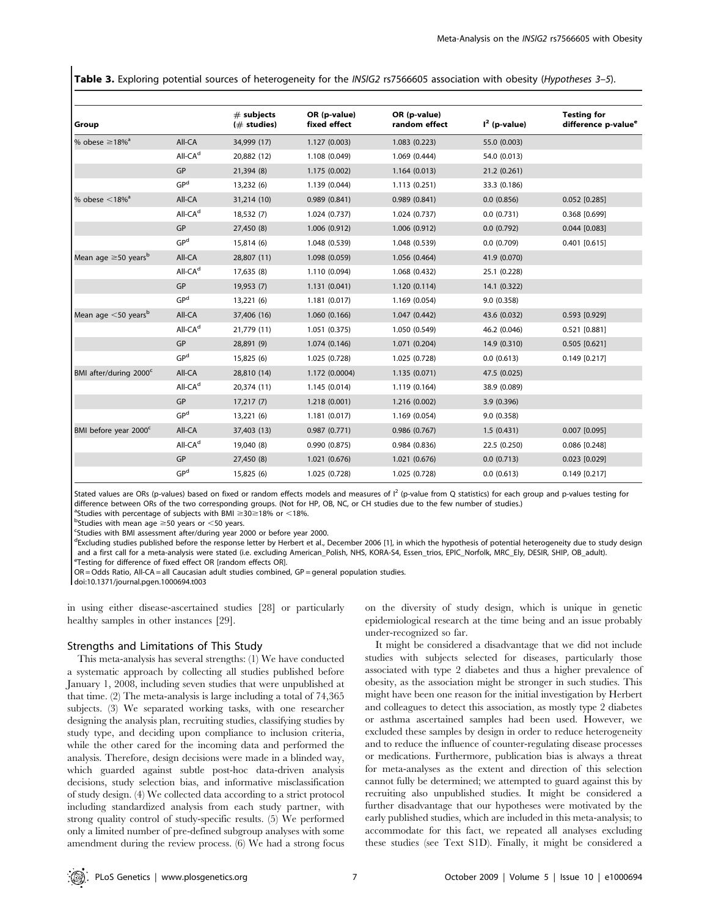Table 3. Exploring potential sources of heterogeneity for the INSIG2 rs7566605 association with obesity (Hypotheses 3-5).

| Group                                 |                     | $#$ subjects<br>$(\#$ studies) | OR (p-value)<br>fixed effect | OR (p-value)<br>random effect | $I2$ (p-value) | <b>Testing for</b><br>difference p-value <sup>e</sup> |
|---------------------------------------|---------------------|--------------------------------|------------------------------|-------------------------------|----------------|-------------------------------------------------------|
| % obese $\geq 18\%$ <sup>a</sup>      | All-CA              | 34,999 (17)                    | 1.127 (0.003)                | 1.083(0.223)                  | 55.0 (0.003)   |                                                       |
|                                       | $All-CAd$           | 20,882 (12)                    | 1.108 (0.049)                | 1.069 (0.444)                 | 54.0 (0.013)   |                                                       |
|                                       | GP                  | 21,394 (8)                     | 1.175 (0.002)                | 1.164(0.013)                  | 21.2 (0.261)   |                                                       |
|                                       | GP <sup>d</sup>     | 13,232 (6)                     | 1.139 (0.044)                | 1.113(0.251)                  | 33.3 (0.186)   |                                                       |
| % obese $\leq 18\%$ <sup>a</sup>      | All-CA              | 31,214 (10)                    | 0.989(0.841)                 | 0.989(0.841)                  | 0.0(0.856)     | $0.052$ [0.285]                                       |
|                                       | All-CA <sup>d</sup> | 18,532 (7)                     | 1.024 (0.737)                | 1.024 (0.737)                 | 0.0(0.731)     | 0.368 [0.699]                                         |
|                                       | GP                  | 27,450 (8)                     | 1.006 (0.912)                | 1.006(0.912)                  | 0.0(0.792)     | $0.044$ [0.083]                                       |
|                                       | GP <sup>d</sup>     | 15,814 (6)                     | 1.048 (0.539)                | 1.048 (0.539)                 | 0.0(0.709)     | $0.401$ [0.615]                                       |
| Mean age $\geq$ 50 years <sup>b</sup> | All-CA              | 28,807 (11)                    | 1.098 (0.059)                | 1.056 (0.464)                 | 41.9 (0.070)   |                                                       |
|                                       | All-CA <sup>d</sup> | 17,635 (8)                     | 1.110 (0.094)                | 1.068 (0.432)                 | 25.1 (0.228)   |                                                       |
|                                       | GP                  | 19,953 (7)                     | 1.131(0.041)                 | 1.120 (0.114)                 | 14.1 (0.322)   |                                                       |
|                                       | GP <sup>d</sup>     | 13,221 (6)                     | 1.181 (0.017)                | 1.169 (0.054)                 | 9.0(0.358)     |                                                       |
| Mean age $<$ 50 years $<$             | All-CA              | 37,406 (16)                    | 1.060(0.166)                 | 1.047(0.442)                  | 43.6 (0.032)   | 0.593 [0.929]                                         |
|                                       | All-CA <sup>d</sup> | 21,779 (11)                    | 1.051 (0.375)                | 1.050 (0.549)                 | 46.2 (0.046)   | $0.521$ [0.881]                                       |
|                                       | GP                  | 28,891 (9)                     | 1.074 (0.146)                | 1.071 (0.204)                 | 14.9 (0.310)   | $0.505$ [0.621]                                       |
|                                       | GP <sup>d</sup>     | 15,825 (6)                     | 1.025 (0.728)                | 1.025 (0.728)                 | 0.0(0.613)     | 0.149 [0.217]                                         |
| BMI after/during 2000 <sup>c</sup>    | All-CA              | 28,810 (14)                    | 1.172 (0.0004)               | 1.135(0.071)                  | 47.5 (0.025)   |                                                       |
|                                       | All-CA <sup>d</sup> | 20,374 (11)                    | 1.145 (0.014)                | 1.119 (0.164)                 | 38.9 (0.089)   |                                                       |
|                                       | GP                  | 17,217(7)                      | 1.218 (0.001)                | 1.216 (0.002)                 | 3.9 (0.396)    |                                                       |
|                                       | GP <sup>d</sup>     | 13,221(6)                      | 1.181 (0.017)                | 1.169 (0.054)                 | 9.0(0.358)     |                                                       |
| BMI before year 2000 <sup>c</sup>     | All-CA              | 37,403 (13)                    | 0.987(0.771)                 | 0.986(0.767)                  | 1.5(0.431)     | $0.007$ [0.095]                                       |
|                                       | All-CA <sup>d</sup> | 19,040 (8)                     | 0.990(0.875)                 | 0.984(0.836)                  | 22.5 (0.250)   | 0.086 [0.248]                                         |
|                                       | GP                  | 27,450 (8)                     | 1.021 (0.676)                | 1.021 (0.676)                 | 0.0(0.713)     | $0.023$ $[0.029]$                                     |
|                                       | GP <sup>d</sup>     | 15,825 (6)                     | 1.025 (0.728)                | 1.025 (0.728)                 | 0.0(0.613)     | $0.149$ [0.217]                                       |

Stated values are ORs (p-values) based on fixed or random effects models and measures of  $I^2$  (p-value from Q statistics) for each group and p-values testing for difference between ORs of the two corresponding groups. (Not for HP, OB, NC, or CH studies due to the few number of studies.) <sup>a</sup> Studies with percentage of subjects with BMI  $\geq 30 \geq 18\%$  or <18%.

 $^{\rm b}$ Studies with mean age  $\geq$ 50 years or  $<$ 50 years.

Studies with BMI assessment after/during year 2000 or before year 2000.

dExcluding studies published before the response letter by Herbert et al., December 2006 [1], in which the hypothesis of potential heterogeneity due to study design and a first call for a meta-analysis were stated (i.e. excluding American\_Polish, NHS, KORA-S4, Essen\_trios, EPIC\_Norfolk, MRC\_Ely, DESIR, SHIP, OB\_adult). <sup>e</sup>Testing for difference of fixed effect OR [random effects OR].

OR = Odds Ratio, All-CA = all Caucasian adult studies combined, GP = general population studies.

doi:10.1371/journal.pgen.1000694.t003

in using either disease-ascertained studies [28] or particularly healthy samples in other instances [29].

#### Strengths and Limitations of This Study

This meta-analysis has several strengths: (1) We have conducted a systematic approach by collecting all studies published before January 1, 2008, including seven studies that were unpublished at that time. (2) The meta-analysis is large including a total of 74,365 subjects. (3) We separated working tasks, with one researcher designing the analysis plan, recruiting studies, classifying studies by study type, and deciding upon compliance to inclusion criteria, while the other cared for the incoming data and performed the analysis. Therefore, design decisions were made in a blinded way, which guarded against subtle post-hoc data-driven analysis decisions, study selection bias, and informative misclassification of study design. (4) We collected data according to a strict protocol including standardized analysis from each study partner, with strong quality control of study-specific results. (5) We performed only a limited number of pre-defined subgroup analyses with some amendment during the review process. (6) We had a strong focus

on the diversity of study design, which is unique in genetic epidemiological research at the time being and an issue probably under-recognized so far.

It might be considered a disadvantage that we did not include studies with subjects selected for diseases, particularly those associated with type 2 diabetes and thus a higher prevalence of obesity, as the association might be stronger in such studies. This might have been one reason for the initial investigation by Herbert and colleagues to detect this association, as mostly type 2 diabetes or asthma ascertained samples had been used. However, we excluded these samples by design in order to reduce heterogeneity and to reduce the influence of counter-regulating disease processes or medications. Furthermore, publication bias is always a threat for meta-analyses as the extent and direction of this selection cannot fully be determined; we attempted to guard against this by recruiting also unpublished studies. It might be considered a further disadvantage that our hypotheses were motivated by the early published studies, which are included in this meta-analysis; to accommodate for this fact, we repeated all analyses excluding these studies (see Text S1D). Finally, it might be considered a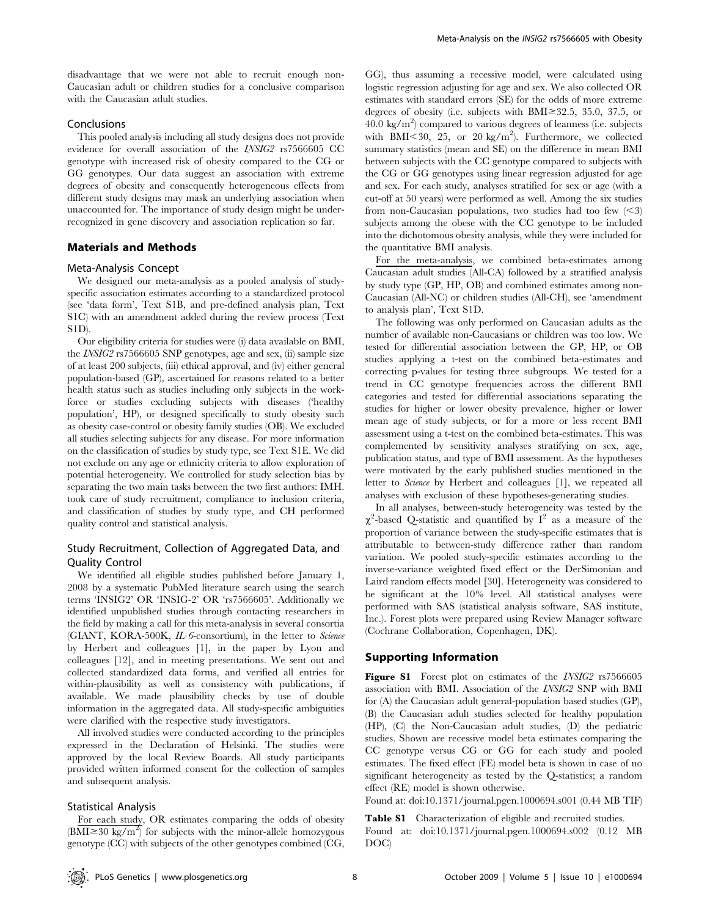disadvantage that we were not able to recruit enough non-Caucasian adult or children studies for a conclusive comparison with the Caucasian adult studies.

## Conclusions

This pooled analysis including all study designs does not provide evidence for overall association of the INSIG2 rs7566605 CC genotype with increased risk of obesity compared to the CG or GG genotypes. Our data suggest an association with extreme degrees of obesity and consequently heterogeneous effects from different study designs may mask an underlying association when unaccounted for. The importance of study design might be underrecognized in gene discovery and association replication so far.

### Materials and Methods

#### Meta-Analysis Concept

We designed our meta-analysis as a pooled analysis of studyspecific association estimates according to a standardized protocol (see 'data form', Text S1B, and pre-defined analysis plan, Text S1C) with an amendment added during the review process (Text  $S1D$ ).

Our eligibility criteria for studies were (i) data available on BMI, the INSIG2 rs7566605 SNP genotypes, age and sex, (ii) sample size of at least 200 subjects, (iii) ethical approval, and (iv) either general population-based (GP), ascertained for reasons related to a better health status such as studies including only subjects in the workforce or studies excluding subjects with diseases ('healthy population', HP), or designed specifically to study obesity such as obesity case-control or obesity family studies (OB). We excluded all studies selecting subjects for any disease. For more information on the classification of studies by study type, see Text S1E. We did not exclude on any age or ethnicity criteria to allow exploration of potential heterogeneity. We controlled for study selection bias by separating the two main tasks between the two first authors: IMH. took care of study recruitment, compliance to inclusion criteria, and classification of studies by study type, and CH performed quality control and statistical analysis.

## Study Recruitment, Collection of Aggregated Data, and Quality Control

We identified all eligible studies published before January 1, 2008 by a systematic PubMed literature search using the search terms 'INSIG2' OR 'INSIG-2' OR 'rs7566605'. Additionally we identified unpublished studies through contacting researchers in the field by making a call for this meta-analysis in several consortia (GIANT, KORA-500K, IL-6-consortium), in the letter to Science by Herbert and colleagues [1], in the paper by Lyon and colleagues [12], and in meeting presentations. We sent out and collected standardized data forms, and verified all entries for within-plausibility as well as consistency with publications, if available. We made plausibility checks by use of double information in the aggregated data. All study-specific ambiguities were clarified with the respective study investigators.

All involved studies were conducted according to the principles expressed in the Declaration of Helsinki. The studies were approved by the local Review Boards. All study participants provided written informed consent for the collection of samples and subsequent analysis.

## Statistical Analysis

For each study, OR estimates comparing the odds of obesity  $(BMI \ge 30 \text{ kg/m}^2)$  for subjects with the minor-allele homozygous genotype (CC) with subjects of the other genotypes combined (CG, GG), thus assuming a recessive model, were calculated using logistic regression adjusting for age and sex. We also collected OR estimates with standard errors (SE) for the odds of more extreme degrees of obesity (i.e. subjects with  $BMI \geq 32.5$ , 35.0, 37.5, or  $40.0 \text{ kg/m}^2$ ) compared to various degrees of leanness (i.e. subjects with  $\overline{BMI}$ <30, 25, or 20 kg/m<sup>2</sup>). Furthermore, we collected summary statistics (mean and SE) on the difference in mean BMI between subjects with the CC genotype compared to subjects with the CG or GG genotypes using linear regression adjusted for age and sex. For each study, analyses stratified for sex or age (with a cut-off at 50 years) were performed as well. Among the six studies from non-Caucasian populations, two studies had too few  $\langle \leq 3 \rangle$ subjects among the obese with the CC genotype to be included into the dichotomous obesity analysis, while they were included for the quantitative BMI analysis.

For the meta-analysis, we combined beta-estimates among Caucasian adult studies (All-CA) followed by a stratified analysis by study type (GP, HP, OB) and combined estimates among non-Caucasian (All-NC) or children studies (All-CH), see 'amendment to analysis plan', Text S1D.

The following was only performed on Caucasian adults as the number of available non-Caucasians or children was too low. We tested for differential association between the GP, HP, or OB studies applying a t-test on the combined beta-estimates and correcting p-values for testing three subgroups. We tested for a trend in CC genotype frequencies across the different BMI categories and tested for differential associations separating the studies for higher or lower obesity prevalence, higher or lower mean age of study subjects, or for a more or less recent BMI assessment using a t-test on the combined beta-estimates. This was complemented by sensitivity analyses stratifying on sex, age, publication status, and type of BMI assessment. As the hypotheses were motivated by the early published studies mentioned in the letter to Science by Herbert and colleagues [1], we repeated all analyses with exclusion of these hypotheses-generating studies.

In all analyses, between-study heterogeneity was tested by the  $\chi^2$ -based Q-statistic and quantified by  $I^2$  as a measure of the proportion of variance between the study-specific estimates that is attributable to between-study difference rather than random variation. We pooled study-specific estimates according to the inverse-variance weighted fixed effect or the DerSimonian and Laird random effects model [30]. Heterogeneity was considered to be significant at the 10% level. All statistical analyses were performed with SAS (statistical analysis software, SAS institute, Inc.). Forest plots were prepared using Review Manager software (Cochrane Collaboration, Copenhagen, DK).

#### Supporting Information

Figure S1 Forest plot on estimates of the *INSIG2* rs7566605 association with BMI. Association of the INSIG2 SNP with BMI for (A) the Caucasian adult general-population based studies (GP), (B) the Caucasian adult studies selected for healthy population (HP), (C) the Non-Caucasian adult studies, (D) the pediatric studies. Shown are recessive model beta estimates comparing the CC genotype versus CG or GG for each study and pooled estimates. The fixed effect (FE) model beta is shown in case of no significant heterogeneity as tested by the Q-statistics; a random effect (RE) model is shown otherwise.

Found at: doi:10.1371/journal.pgen.1000694.s001 (0.44 MB TIF)

Table S1 Characterization of eligible and recruited studies. Found at: doi:10.1371/journal.pgen.1000694.s002 (0.12 MB DOC)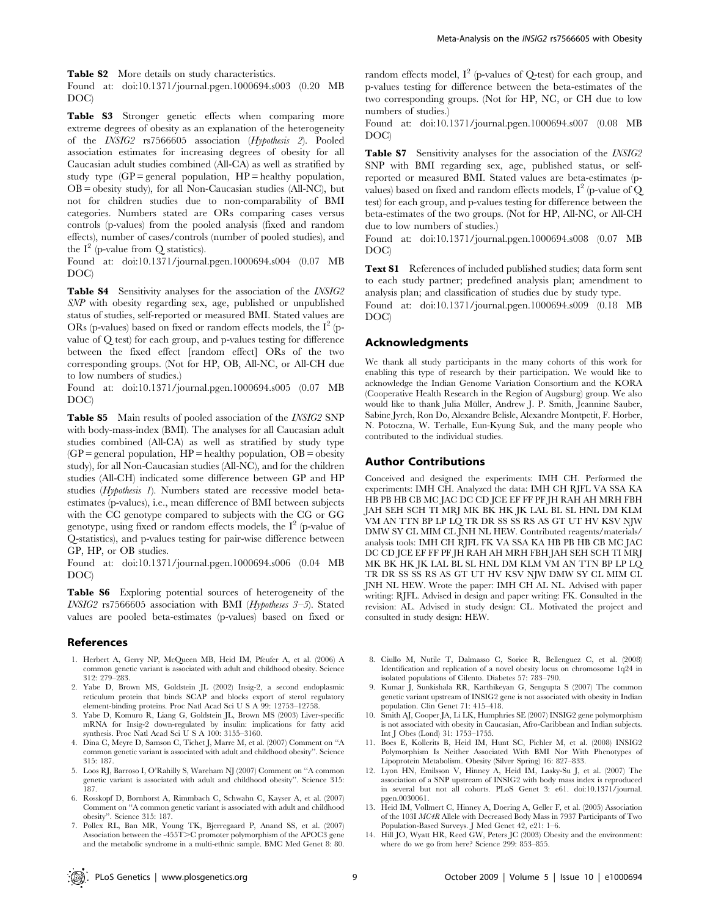Table S2 More details on study characteristics.

Found at: doi:10.1371/journal.pgen.1000694.s003 (0.20 MB DOC)

Table S3 Stronger genetic effects when comparing more extreme degrees of obesity as an explanation of the heterogeneity of the INSIG2 rs7566605 association (Hypothesis 2). Pooled association estimates for increasing degrees of obesity for all Caucasian adult studies combined (All-CA) as well as stratified by study type  $(GP = general$  population,  $HP = healthy$  population,  $OB =$  obesity study), for all Non-Caucasian studies (All-NC), but not for children studies due to non-comparability of BMI categories. Numbers stated are ORs comparing cases versus controls (p-values) from the pooled analysis (fixed and random effects), number of cases/controls (number of pooled studies), and the  $I^2$  (p-value from Q statistics).

Found at: doi:10.1371/journal.pgen.1000694.s004 (0.07 MB DOC)

Table S4 Sensitivity analyses for the association of the INSIG2 SNP with obesity regarding sex, age, published or unpublished status of studies, self-reported or measured BMI. Stated values are ORs (p-values) based on fixed or random effects models, the  $I^2$  (pvalue of Q test) for each group, and p-values testing for difference between the fixed effect [random effect] ORs of the two corresponding groups. (Not for HP, OB, All-NC, or All-CH due to low numbers of studies.)

Found at: doi:10.1371/journal.pgen.1000694.s005 (0.07 MB DOC)

Table S5 Main results of pooled association of the INSIG2 SNP with body-mass-index (BMI). The analyses for all Caucasian adult studies combined (All-CA) as well as stratified by study type  $(GP =$  general population,  $HP =$  healthy population,  $OB =$  obesity study), for all Non-Caucasian studies (All-NC), and for the children studies (All-CH) indicated some difference between GP and HP studies (Hypothesis 1). Numbers stated are recessive model betaestimates (p-values), i.e., mean difference of BMI between subjects with the CC genotype compared to subjects with the CG or GG genotype, using fixed or random effects models, the  $I^2$  (p-value of Q-statistics), and p-values testing for pair-wise difference between GP, HP, or OB studies.

Found at: doi:10.1371/journal.pgen.1000694.s006 (0.04 MB DOC)

Table S6 Exploring potential sources of heterogeneity of the INSIG2 rs7566605 association with BMI (Hypotheses  $3-5$ ). Stated values are pooled beta-estimates (p-values) based on fixed or

## References

- 1. Herbert A, Gerry NP, McQueen MB, Heid IM, Pfeufer A, et al. (2006) A common genetic variant is associated with adult and childhood obesity. Science 312: 279–283.
- 2. Yabe D, Brown MS, Goldstein JL (2002) Insig-2, a second endoplasmic reticulum protein that binds SCAP and blocks export of sterol regulatory element-binding proteins. Proc Natl Acad Sci U S A 99: 12753–12758.
- 3. Yabe D, Komuro R, Liang G, Goldstein JL, Brown MS (2003) Liver-specific mRNA for Insig-2 down-regulated by insulin: implications for fatty acid synthesis. Proc Natl Acad Sci U S A 100: 3155–3160.
- 4. Dina C, Meyre D, Samson C, Tichet J, Marre M, et al. (2007) Comment on ''A common genetic variant is associated with adult and childhood obesity''. Science 315: 187.
- 5. Loos RJ, Barroso I, O'Rahilly S, Wareham NJ (2007) Comment on ''A common genetic variant is associated with adult and childhood obesity''. Science 315: 187.
- 6. Rosskopf D, Bornhorst A, Rimmbach C, Schwahn C, Kayser A, et al. (2007) Comment on ''A common genetic variant is associated with adult and childhood obesity''. Science 315: 187.
- 7. Pollex RL, Ban MR, Young TK, Bjerregaard P, Anand SS, et al. (2007) Association between the -455T>C promoter polymorphism of the APOC3 gene and the metabolic syndrome in a multi-ethnic sample. BMC Med Genet 8: 80.

random effects model,  $I^2$  (p-values of Q-test) for each group, and p-values testing for difference between the beta-estimates of the two corresponding groups. (Not for HP, NC, or CH due to low numbers of studies.)

Found at: doi:10.1371/journal.pgen.1000694.s007 (0.08 MB DOC)

**Table S7** Sensitivity analyses for the association of the *INSIG2* SNP with BMI regarding sex, age, published status, or selfreported or measured BMI. Stated values are beta-estimates (pvalues) based on fixed and random effects models,  $I^2$  (p-value of Q) test) for each group, and p-values testing for difference between the beta-estimates of the two groups. (Not for HP, All-NC, or All-CH due to low numbers of studies.)

Found at: doi:10.1371/journal.pgen.1000694.s008 (0.07 MB DOC)

Text S1 References of included published studies; data form sent to each study partner; predefined analysis plan; amendment to analysis plan; and classification of studies due by study type.

Found at: doi:10.1371/journal.pgen.1000694.s009 (0.18 MB DOC)

## Acknowledgments

We thank all study participants in the many cohorts of this work for enabling this type of research by their participation. We would like to acknowledge the Indian Genome Variation Consortium and the KORA (Cooperative Health Research in the Region of Augsburg) group. We also would like to thank Julia Müller, Andrew J. P. Smith, Jeannine Sauber, Sabine Jyrch, Ron Do, Alexandre Belisle, Alexandre Montpetit, F. Horber, N. Potoczna, W. Terhalle, Eun-Kyung Suk, and the many people who contributed to the individual studies.

#### Author Contributions

Conceived and designed the experiments: IMH CH. Performed the experiments: IMH CH. Analyzed the data: IMH CH RJFL VA SSA KA HB PB HB CB MC JAC DC CD JCE EF FF PF JH RAH AH MRH FBH JAH SEH SCH TI MRJ MK BK HK JK LAL BL SL HNL DM KLM VM AN TTN BP LP LQ TR DR SS SS RS AS GT UT HV KSV NJW DMW SY CL MIM CL JNH NL HEW. Contributed reagents/materials/ analysis tools: IMH CH RJFL FK VA SSA KA HB PB HB CB MC JAC DC CD JCE EF FF PF JH RAH AH MRH FBH JAH SEH SCH TI MRJ MK BK HK JK LAL BL SL HNL DM KLM VM AN TTN BP LP LQ TR DR SS SS RS AS GT UT HV KSV NJW DMW SY CL MIM CL JNH NL HEW. Wrote the paper: IMH CH AL NL. Advised with paper writing: RJFL. Advised in design and paper writing: FK. Consulted in the revision: AL. Advised in study design: CL. Motivated the project and consulted in study design: HEW.

- 8. Ciullo M, Nutile T, Dalmasso C, Sorice R, Bellenguez C, et al. (2008) Identification and replication of a novel obesity locus on chromosome 1q24 in isolated populations of Cilento. Diabetes 57: 783–790.
- 9. Kumar J, Sunkishala RR, Karthikeyan G, Sengupta S (2007) The common genetic variant upstream of INSIG2 gene is not associated with obesity in Indian population. Clin Genet 71: 415–418.
- 10. Smith AJ, Cooper JA, Li LK, Humphries SE (2007) INSIG2 gene polymorphism is not associated with obesity in Caucasian, Afro-Caribbean and Indian subjects. Int J Obes (Lond) 31: 1753–1755.
- 11. Boes E, Kollerits B, Heid IM, Hunt SC, Pichler M, et al. (2008) INSIG2 Polymorphism Is Neither Associated With BMI Nor With Phenotypes of Lipoprotein Metabolism. Obesity (Silver Spring) 16: 827–833.
- 12. Lyon HN, Emilsson V, Hinney A, Heid IM, Lasky-Su J, et al. (2007) The association of a SNP upstream of INSIG2 with body mass index is reproduced in several but not all cohorts. PLoS Genet 3: e61. doi:10.1371/journal. pgen.0030061.
- 13. Heid IM, Vollmert C, Hinney A, Doering A, Geller F, et al. (2005) Association of the 103I MC4R Allele with Decreased Body Mass in 7937 Participants of Two Population-Based Surveys. J Med Genet 42, e21: 1–6.
- 14. Hill JO, Wyatt HR, Reed GW, Peters JC (2003) Obesity and the environment: where do we go from here? Science 299: 853–855.